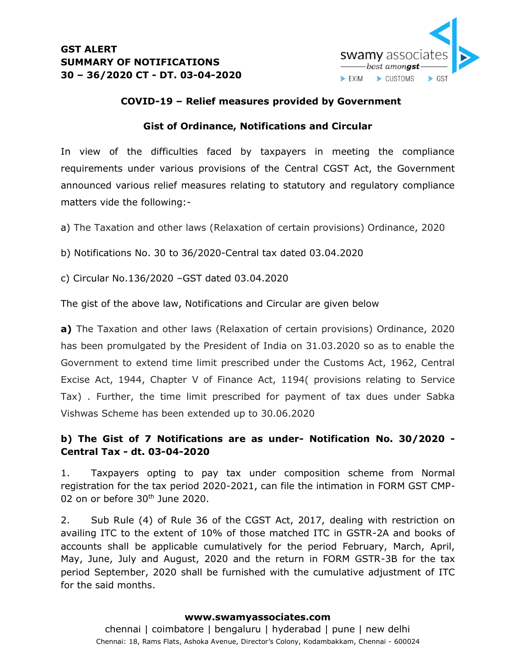

### **COVID-19 – Relief measures provided by Government**

### **Gist of Ordinance, Notifications and Circular**

In view of the difficulties faced by taxpayers in meeting the compliance requirements under various provisions of the Central CGST Act, the Government announced various relief measures relating to statutory and regulatory compliance matters vide the following:-

a) The Taxation and other laws (Relaxation of certain provisions) Ordinance, 2020

b) Notifications No. 30 to 36/2020-Central tax dated 03.04.2020

c) Circular No.136/2020 –GST dated 03.04.2020

The gist of the above law, Notifications and Circular are given below

**a)** The Taxation and other laws (Relaxation of certain provisions) Ordinance, 2020 has been promulgated by the President of India on 31.03.2020 so as to enable the Government to extend time limit prescribed under the Customs Act, 1962, Central Excise Act, 1944, Chapter V of Finance Act, 1194( provisions relating to Service Tax) . Further, the time limit prescribed for payment of tax dues under Sabka Vishwas Scheme has been extended up to 30.06.2020

## **b) The Gist of 7 Notifications are as under- Notification No. 30/2020 - Central Tax - dt. 03-04-2020**

1. Taxpayers opting to pay tax under composition scheme from Normal registration for the tax period 2020-2021, can file the intimation in FORM GST CMP-02 on or before 30<sup>th</sup> June 2020.

2. Sub Rule (4) of Rule 36 of the CGST Act, 2017, dealing with restriction on availing ITC to the extent of 10% of those matched ITC in GSTR-2A and books of accounts shall be applicable cumulatively for the period February, March, April, May, June, July and August, 2020 and the return in FORM GSTR-3B for the tax period September, 2020 shall be furnished with the cumulative adjustment of ITC for the said months.

#### **www.swamyassociates.com**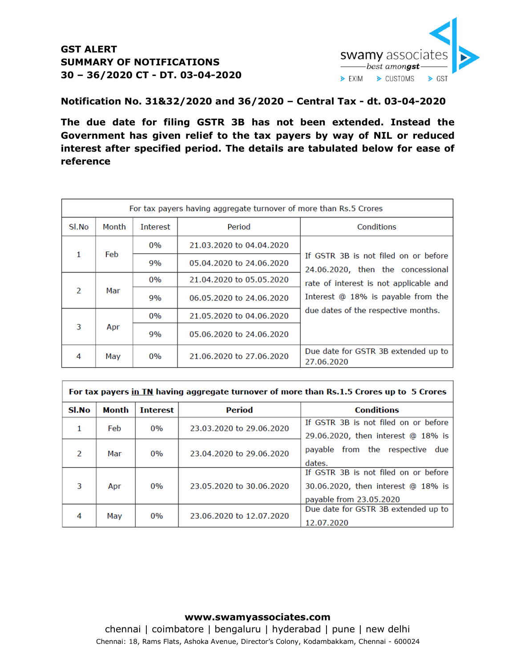## **GST ALERT SUMMARY OF NOTIFICATIONS 30 – 36/2020 CT - DT. 03-04-2020**



**Notification No. 31&32/2020 and 36/2020 – Central Tax - dt. 03-04-2020**

**The due date for filing GSTR 3B has not been extended. Instead the Government has given relief to the tax payers by way of NIL or reduced interest after specified period. The details are tabulated below for ease of reference**

| For tax payers having aggregate turnover of more than Rs.5 Crores |       |                 |                          |                                                                                                                                                           |
|-------------------------------------------------------------------|-------|-----------------|--------------------------|-----------------------------------------------------------------------------------------------------------------------------------------------------------|
| Sl.No                                                             | Month | <b>Interest</b> | Period                   | Conditions                                                                                                                                                |
| 1                                                                 | Feb   | $0\%$           | 21.03.2020 to 04.04.2020 | If GSTR 3B is not filed on or before<br>24.06.2020, then the concessional<br>rate of interest is not applicable and<br>Interest @ 18% is payable from the |
|                                                                   |       | 9%              | 05.04.2020 to 24.06.2020 |                                                                                                                                                           |
| $\mathcal{P}$                                                     | Mar   | 0%              | 21.04.2020 to 05.05.2020 |                                                                                                                                                           |
|                                                                   |       | 9%              | 06.05.2020 to 24.06.2020 |                                                                                                                                                           |
| 3                                                                 | Apr   | $0\%$           | 21.05.2020 to 04.06.2020 | due dates of the respective months.                                                                                                                       |
|                                                                   |       | 9%              | 05.06.2020 to 24.06.2020 |                                                                                                                                                           |
| 4                                                                 | May   | $0\%$           | 21.06.2020 to 27.06.2020 | Due date for GSTR 3B extended up to<br>27.06.2020                                                                                                         |

| For tax payers in TN having aggregate turnover of more than Rs.1.5 Crores up to 5 Crores |       |                 |                          |                                      |  |
|------------------------------------------------------------------------------------------|-------|-----------------|--------------------------|--------------------------------------|--|
| Sl.No                                                                                    | Month | <b>Interest</b> | Period                   | <b>Conditions</b>                    |  |
| 1                                                                                        | Feb   | 0%              | 23.03.2020 to 29.06.2020 | If GSTR 3B is not filed on or before |  |
|                                                                                          |       |                 |                          | 29.06.2020, then interest @ 18% is   |  |
| $\mathcal{P}$                                                                            | Mar   | $0\%$           | 23.04.2020 to 29.06.2020 | payable from the respective due      |  |
|                                                                                          |       |                 |                          | dates.                               |  |
|                                                                                          |       |                 |                          | If GSTR 3B is not filed on or before |  |
| 3                                                                                        | Apr   | $0\%$           | 23.05.2020 to 30.06.2020 | 30.06.2020, then interest @ 18% is   |  |
|                                                                                          |       |                 |                          | payable from 23.05.2020              |  |
| 4                                                                                        | Mav   | 0%              | 23.06.2020 to 12.07.2020 | Due date for GSTR 3B extended up to  |  |
|                                                                                          |       |                 |                          | 12.07.2020                           |  |

#### **www.swamyassociates.com**

chennai | coimbatore | bengaluru | hyderabad | pune | new delhi Chennai: 18, Rams Flats, Ashoka Avenue, Director's Colony, Kodambakkam, Chennai - 600024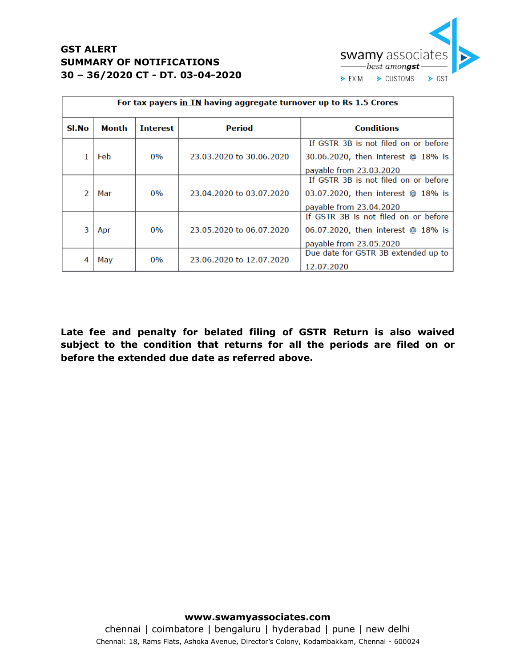

# **GST ALERT SUMMARY OF NOTIFICATIONS 30 – 36/2020 CT - DT. 03-04-2020**

| For tax payers in TN having aggregate turnover up to Rs 1.5 Crores |       |                 |                          |                                      |  |
|--------------------------------------------------------------------|-------|-----------------|--------------------------|--------------------------------------|--|
| Sl.No                                                              | Month | <b>Interest</b> | Period                   | <b>Conditions</b>                    |  |
|                                                                    |       |                 |                          | If GSTR 3B is not filed on or before |  |
|                                                                    | Feb   | 0%              | 23.03.2020 to 30.06.2020 | 30.06.2020, then interest @ 18% is   |  |
|                                                                    |       |                 |                          | payable from 23.03.2020              |  |
|                                                                    |       |                 |                          | If GSTR 3B is not filed on or before |  |
|                                                                    | Mar   | 0%              | 23.04.2020 to 03.07.2020 | 03.07.2020, then interest @ 18% is   |  |
|                                                                    |       |                 |                          | payable from 23.04.2020              |  |
|                                                                    |       |                 |                          | If GSTR 3B is not filed on or before |  |
| 3                                                                  | Apr   | 0%              | 23.05.2020 to 06.07.2020 | 06.07.2020, then interest @ 18% is   |  |
|                                                                    |       |                 |                          | payable from 23.05.2020              |  |
|                                                                    |       |                 |                          | Due date for GSTR 3B extended up to  |  |
|                                                                    | May   | $0\%$           | 23.06.2020 to 12.07.2020 | 12.07.2020                           |  |

**Late fee and penalty for belated filing of GSTR Return is also waived subject to the condition that returns for all the periods are filed on or before the extended due date as referred above.**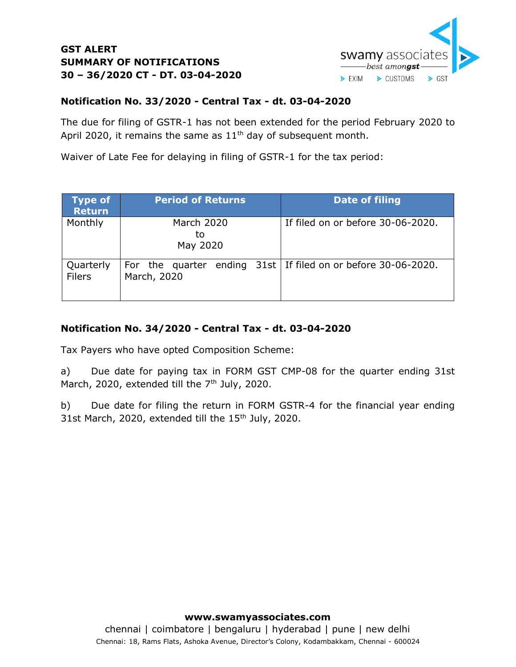

## **GST ALERT SUMMARY OF NOTIFICATIONS 30 – 36/2020 CT - DT. 03-04-2020**

## **Notification No. 33/2020 - Central Tax - dt. 03-04-2020**

The due for filing of GSTR-1 has not been extended for the period February 2020 to April 2020, it remains the same as  $11<sup>th</sup>$  day of subsequent month.

Waiver of Late Fee for delaying in filing of GSTR-1 for the tax period:

| <b>Type of</b><br><b>Return</b> | <b>Period of Returns</b>            | <b>Date of filing</b>                                           |
|---------------------------------|-------------------------------------|-----------------------------------------------------------------|
| Monthly                         | <b>March 2020</b><br>to<br>May 2020 | If filed on or before 30-06-2020.                               |
| Quarterly<br><b>Filers</b>      | March, 2020                         | For the quarter ending $31st$ If filed on or before 30-06-2020. |

### **Notification No. 34/2020 - Central Tax - dt. 03-04-2020**

Tax Payers who have opted Composition Scheme:

a) Due date for paying tax in FORM GST CMP-08 for the quarter ending 31st March, 2020, extended till the  $7<sup>th</sup>$  July, 2020.

b) Due date for filing the return in FORM GSTR-4 for the financial year ending 31st March, 2020, extended till the 15<sup>th</sup> July, 2020.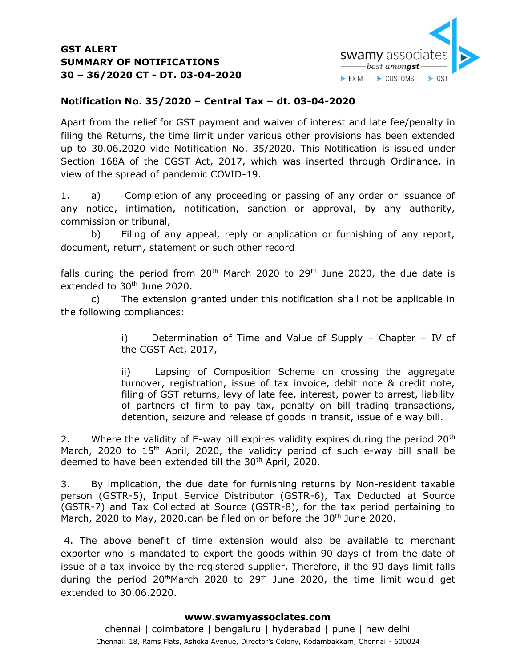

## **Notification No. 35/2020 – Central Tax – dt. 03-04-2020**

Apart from the relief for GST payment and waiver of interest and late fee/penalty in filing the Returns, the time limit under various other provisions has been extended up to 30.06.2020 vide Notification No. 35/2020. This Notification is issued under Section 168A of the CGST Act, 2017, which was inserted through Ordinance, in view of the spread of pandemic COVID-19.

1. a) Completion of any proceeding or passing of any order or issuance of any notice, intimation, notification, sanction or approval, by any authority, commission or tribunal,

b) Filing of any appeal, reply or application or furnishing of any report, document, return, statement or such other record

falls during the period from  $20<sup>th</sup>$  March 2020 to 29<sup>th</sup> June 2020, the due date is extended to 30<sup>th</sup> June 2020.

c) The extension granted under this notification shall not be applicable in the following compliances:

> i) Determination of Time and Value of Supply – Chapter – IV of the CGST Act, 2017,

> ii) Lapsing of Composition Scheme on crossing the aggregate turnover, registration, issue of tax invoice, debit note & credit note, filing of GST returns, levy of late fee, interest, power to arrest, liability of partners of firm to pay tax, penalty on bill trading transactions, detention, seizure and release of goods in transit, issue of e way bill.

2. Where the validity of E-way bill expires validity expires during the period 20<sup>th</sup> March, 2020 to 15<sup>th</sup> April, 2020, the validity period of such e-way bill shall be deemed to have been extended till the 30<sup>th</sup> April, 2020.

3. By implication, the due date for furnishing returns by Non-resident taxable person (GSTR-5), Input Service Distributor (GSTR-6), Tax Deducted at Source (GSTR-7) and Tax Collected at Source (GSTR-8), for the tax period pertaining to March, 2020 to May, 2020, can be filed on or before the 30<sup>th</sup> June 2020.

4. The above benefit of time extension would also be available to merchant exporter who is mandated to export the goods within 90 days of from the date of issue of a tax invoice by the registered supplier. Therefore, if the 90 days limit falls during the period  $20<sup>th</sup>$ March 2020 to  $29<sup>th</sup>$  June 2020, the time limit would get extended to 30.06.2020.

#### **www.swamyassociates.com**